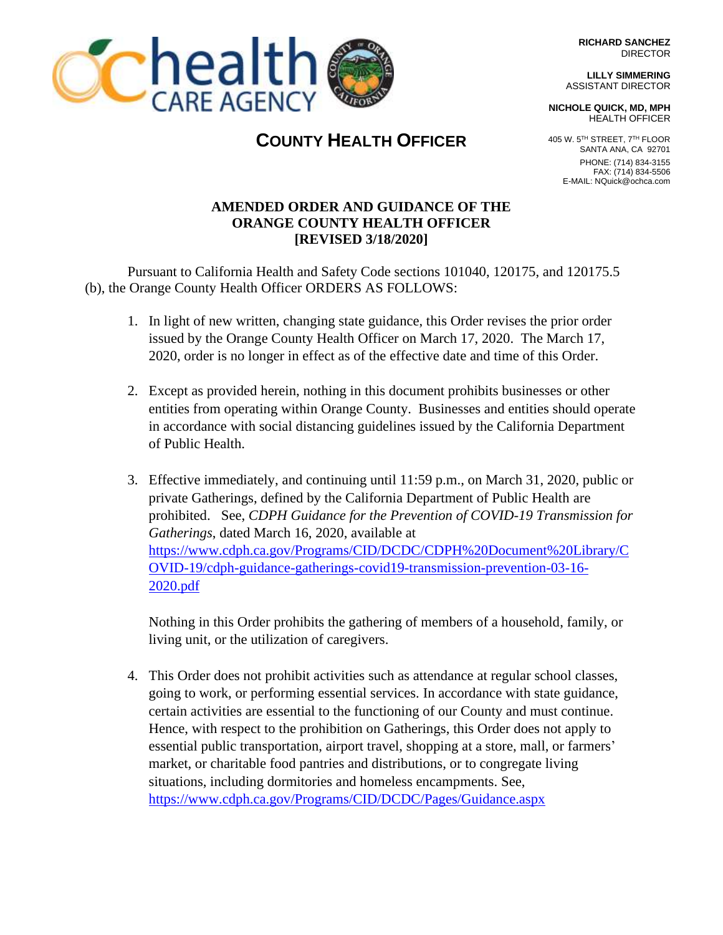**RICHARD SANCHEZ** DIRECTOR

**LILLY SIMMERING** ASSISTANT DIRECTOR

**NICHOLE QUICK, MD, MPH** HEALTH OFFICER



# **CChealth**

**COUNTY HEALTH OFFICER**

# **AMENDED ORDER AND GUIDANCE OF THE ORANGE COUNTY HEALTH OFFICER [REVISED 3/18/2020]**

Pursuant to California Health and Safety Code sections 101040, 120175, and 120175.5 (b), the Orange County Health Officer ORDERS AS FOLLOWS:

- 1. In light of new written, changing state guidance, this Order revises the prior order issued by the Orange County Health Officer on March 17, 2020. The March 17, 2020, order is no longer in effect as of the effective date and time of this Order.
- 2. Except as provided herein, nothing in this document prohibits businesses or other entities from operating within Orange County. Businesses and entities should operate in accordance with social distancing guidelines issued by the California Department of Public Health.
- 3. Effective immediately, and continuing until 11:59 p.m., on March 31, 2020, public or private Gatherings, defined by the California Department of Public Health are prohibited. See, *CDPH Guidance for the Prevention of COVID-19 Transmission for Gatherings*, dated March 16, 2020, available at [https://www.cdph.ca.gov/Programs/CID/DCDC/CDPH%20Document%20Library/C](https://www.cdph.ca.gov/Programs/CID/DCDC/CDPH%20Document%20Library/COVID-19/cdph-guidance-gatherings-covid19-transmission-prevention-03-16-2020.pdf) [OVID-19/cdph-guidance-gatherings-covid19-transmission-prevention-03-16-](https://www.cdph.ca.gov/Programs/CID/DCDC/CDPH%20Document%20Library/COVID-19/cdph-guidance-gatherings-covid19-transmission-prevention-03-16-2020.pdf) [2020.pdf](https://www.cdph.ca.gov/Programs/CID/DCDC/CDPH%20Document%20Library/COVID-19/cdph-guidance-gatherings-covid19-transmission-prevention-03-16-2020.pdf)

Nothing in this Order prohibits the gathering of members of a household, family, or living unit, or the utilization of caregivers.

4. This Order does not prohibit activities such as attendance at regular school classes, going to work, or performing essential services. In accordance with state guidance, certain activities are essential to the functioning of our County and must continue. Hence, with respect to the prohibition on Gatherings, this Order does not apply to essential public transportation, airport travel, shopping at a store, mall, or farmers' market, or charitable food pantries and distributions, or to congregate living situations, including dormitories and homeless encampments. See, <https://www.cdph.ca.gov/Programs/CID/DCDC/Pages/Guidance.aspx>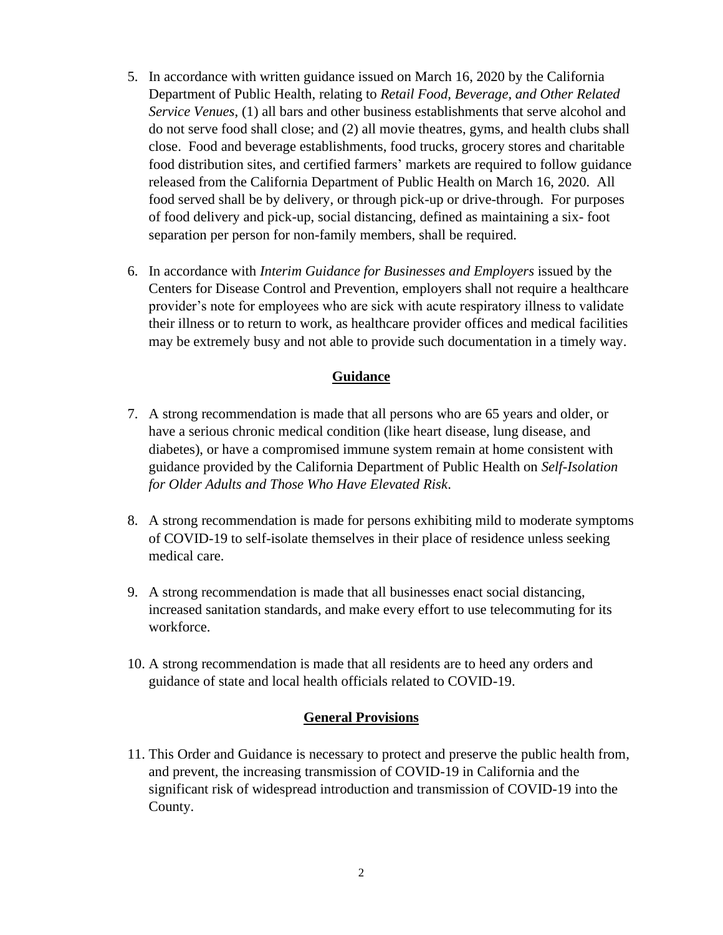- 5. In accordance with written guidance issued on March 16, 2020 by the California Department of Public Health, relating to *Retail Food, Beverage, and Other Related Service Venues*, (1) all bars and other business establishments that serve alcohol and do not serve food shall close; and (2) all movie theatres, gyms, and health clubs shall close. Food and beverage establishments, food trucks, grocery stores and charitable food distribution sites, and certified farmers' markets are required to follow guidance released from the California Department of Public Health on March 16, 2020. All food served shall be by delivery, or through pick-up or drive-through. For purposes of food delivery and pick-up, social distancing, defined as maintaining a six- foot separation per person for non-family members, shall be required.
- 6. In accordance with *Interim Guidance for Businesses and Employers* issued by the Centers for Disease Control and Prevention, employers shall not require a healthcare provider's note for employees who are sick with acute respiratory illness to validate their illness or to return to work, as healthcare provider offices and medical facilities may be extremely busy and not able to provide such documentation in a timely way.

## **Guidance**

- 7. A strong recommendation is made that all persons who are 65 years and older, or have a serious chronic medical condition (like heart disease, lung disease, and diabetes), or have a compromised immune system remain at home consistent with guidance provided by the California Department of Public Health on *Self-Isolation for Older Adults and Those Who Have Elevated Risk*.
- 8. A strong recommendation is made for persons exhibiting mild to moderate symptoms of COVID-19 to self-isolate themselves in their place of residence unless seeking medical care.
- 9. A strong recommendation is made that all businesses enact social distancing, increased sanitation standards, and make every effort to use telecommuting for its workforce.
- 10. A strong recommendation is made that all residents are to heed any orders and guidance of state and local health officials related to COVID-19.

### **General Provisions**

11. This Order and Guidance is necessary to protect and preserve the public health from, and prevent, the increasing transmission of COVID-19 in California and the significant risk of widespread introduction and transmission of COVID-19 into the County.